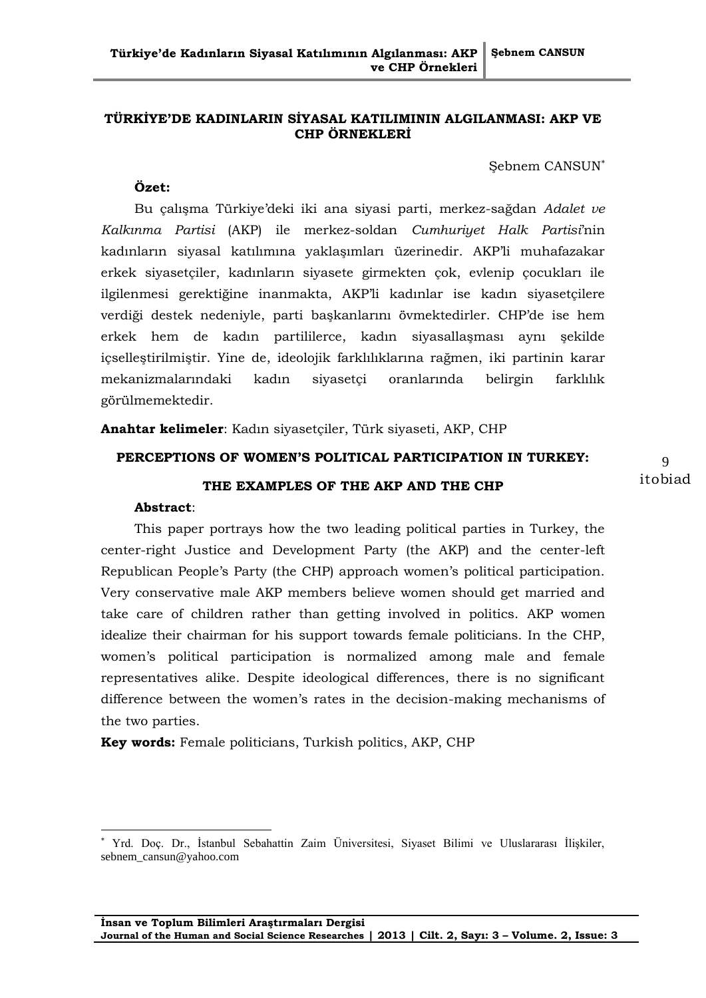## **TÜRKİYE'DE KADINLARIN SİYASAL KATILIMININ ALGILANMASI: AKP VE CHP ÖRNEKLERİ**

Şebnem CANSUN

## **Özet:**

Bu çalışma Türkiye"deki iki ana siyasi parti, merkez-sağdan *Adalet ve Kalkınma Partisi* (AKP) ile merkez-soldan *Cumhuriyet Halk Partisi*"nin kadınların siyasal katılımına yaklaşımları üzerinedir. AKP"li muhafazakar erkek siyasetçiler, kadınların siyasete girmekten çok, evlenip çocukları ile ilgilenmesi gerektiğine inanmakta, AKP"li kadınlar ise kadın siyasetçilere verdiği destek nedeniyle, parti başkanlarını övmektedirler. CHP"de ise hem erkek hem de kadın partililerce, kadın siyasallaşması aynı şekilde içselleştirilmiştir. Yine de, ideolojik farklılıklarına rağmen, iki partinin karar mekanizmalarındaki kadın siyasetçi oranlarında belirgin farklılık görülmemektedir.

**Anahtar kelimeler**: Kadın siyasetçiler, Türk siyaseti, AKP, CHP

## **PERCEPTIONS OF WOMEN'S POLITICAL PARTICIPATION IN TURKEY:**

## **THE EXAMPLES OF THE AKP AND THE CHP**

### **Abstract**:

 $\overline{a}$ 

This paper portrays how the two leading political parties in Turkey, the center-right Justice and Development Party (the AKP) and the center-left Republican People"s Party (the CHP) approach women"s political participation. Very conservative male AKP members believe women should get married and take care of children rather than getting involved in politics. AKP women idealize their chairman for his support towards female politicians. In the CHP, women"s political participation is normalized among male and female representatives alike. Despite ideological differences, there is no significant difference between the women"s rates in the decision-making mechanisms of the two parties.

**Key words:** Female politicians, Turkish politics, AKP, CHP

Yrd. Doç. Dr., İstanbul Sebahattin Zaim Üniversitesi, Siyaset Bilimi ve Uluslararası İlişkiler, sebnem\_cansun@yahoo.com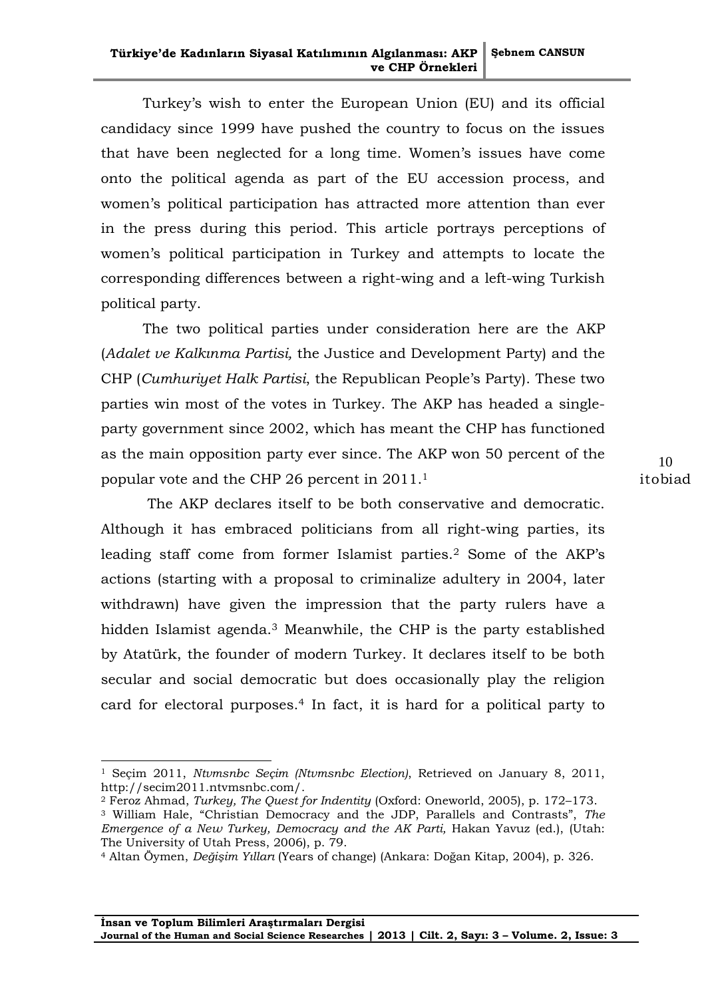Turkey"s wish to enter the European Union (EU) and its official candidacy since 1999 have pushed the country to focus on the issues that have been neglected for a long time. Women"s issues have come onto the political agenda as part of the EU accession process, and women's political participation has attracted more attention than ever in the press during this period. This article portrays perceptions of women's political participation in Turkey and attempts to locate the corresponding differences between a right-wing and a left-wing Turkish political party.

The two political parties under consideration here are the AKP (*Adalet ve Kalkınma Partisi,* the Justice and Development Party) and the CHP (*Cumhuriyet Halk Partisi*, the Republican People"s Party). These two parties win most of the votes in Turkey. The AKP has headed a singleparty government since 2002, which has meant the CHP has functioned as the main opposition party ever since. The AKP won 50 percent of the popular vote and the CHP 26 percent in 2011.<sup>1</sup>

The AKP declares itself to be both conservative and democratic. Although it has embraced politicians from all right-wing parties, its leading staff come from former Islamist parties.<sup>2</sup> Some of the AKP"s actions (starting with a proposal to criminalize adultery in 2004, later withdrawn) have given the impression that the party rulers have a hidden Islamist agenda.<sup>3</sup> Meanwhile, the CHP is the party established by Atatürk, the founder of modern Turkey. It declares itself to be both secular and social democratic but does occasionally play the religion card for electoral purposes.<sup>4</sup> In fact, it is hard for a political party to

 $\overline{a}$ 

<sup>1</sup> Seçim 2011, *Ntvmsnbc Seçim (Ntvmsnbc Election)*, Retrieved on January 8, 2011, [http://secim2011.ntvmsnbc.com/.](http://secim2011.ntvmsnbc.com/)

<sup>2</sup> Feroz Ahmad, *Turkey, The Quest for Indentity* (Oxford: Oneworld, 2005), p. 172–173.

<sup>3</sup> William Hale, "Christian Democracy and the JDP, Parallels and Contrasts", *The Emergence of a New Turkey, Democracy and the AK Parti,* Hakan Yavuz (ed.), (Utah: The University of Utah Press, 2006), p. 79.

<sup>4</sup> Altan Öymen, *Değişim Yılları* (Years of change) (Ankara: Doğan Kitap, 2004), p. 326.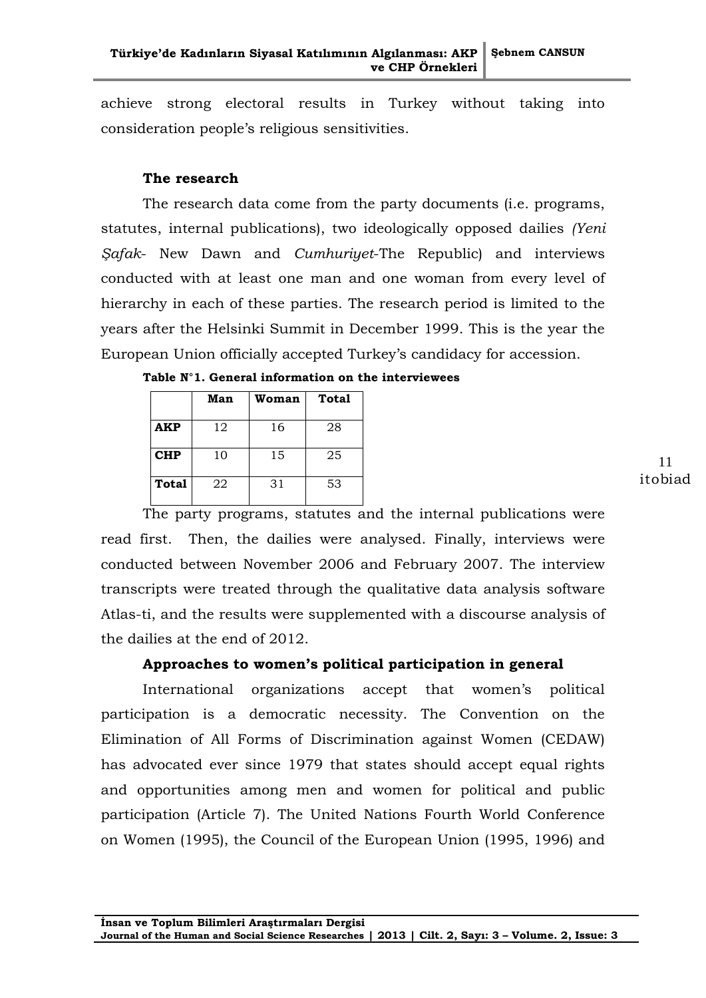achieve strong electoral results in Turkey without taking into consideration people"s religious sensitivities.

## **The research**

The research data come from the party documents (i.e. programs, statutes, internal publications), two ideologically opposed dailies *(Yeni Şafak*- New Dawn and *Cumhuriyet*-The Republic) and interviews conducted with at least one man and one woman from every level of hierarchy in each of these parties. The research period is limited to the years after the Helsinki Summit in December 1999. This is the year the European Union officially accepted Turkey"s candidacy for accession.

|            | Man | Woman | <b>Total</b> |
|------------|-----|-------|--------------|
| <b>AKP</b> | 12  | 16    | 28           |
| <b>CHP</b> | 10  | 15    | 25           |
| Total      | 22  | 31    | 53           |

|  |  |  |  | Table $N^{\circ}1.$ General information on the interviewees |
|--|--|--|--|-------------------------------------------------------------|
|--|--|--|--|-------------------------------------------------------------|

The party programs, statutes and the internal publications were read first. Then, the dailies were analysed. Finally, interviews were conducted between November 2006 and February 2007. The interview transcripts were treated through the qualitative data analysis software Atlas-ti, and the results were supplemented with a discourse analysis of the dailies at the end of 2012.

## **Approaches to women's political participation in general**

International organizations accept that women's political participation is a democratic necessity. The Convention on the Elimination of All Forms of Discrimination against Women (CEDAW) has advocated ever since 1979 that states should accept equal rights and opportunities among men and women for political and public participation (Article 7). The United Nations Fourth World Conference on Women (1995), the Council of the European Union (1995, 1996) and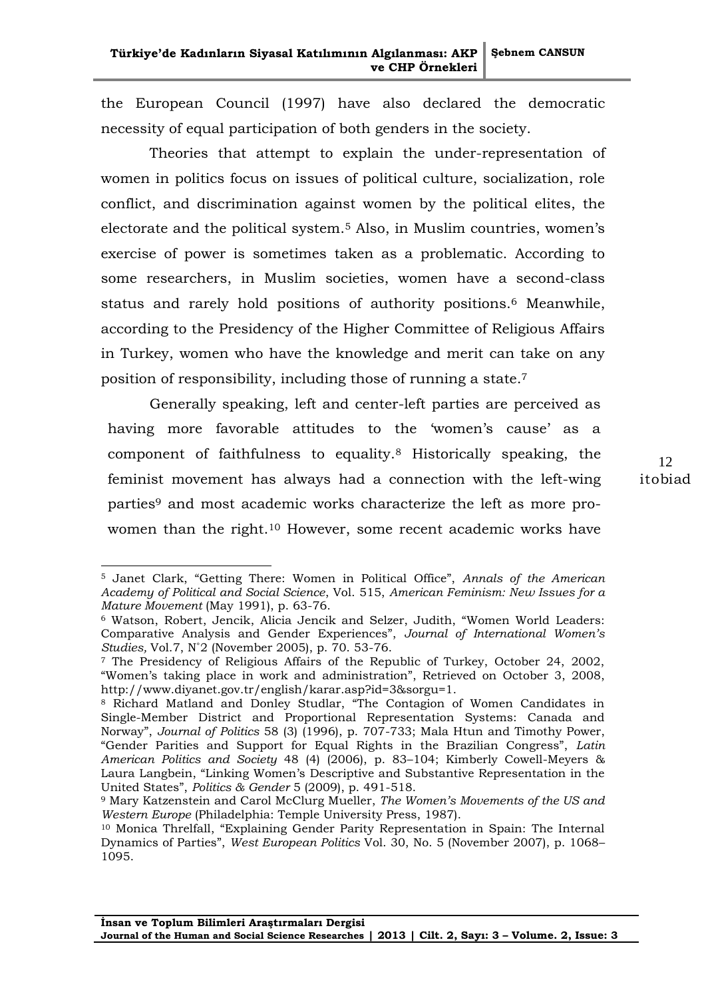the European Council (1997) have also declared the democratic necessity of equal participation of both genders in the society.

Theories that attempt to explain the under-representation of women in politics focus on issues of political culture, socialization, role conflict, and discrimination against women by the political elites, the electorate and the political system.<sup>5</sup> Also, in Muslim countries, women's exercise of power is sometimes taken as a problematic. According to some researchers, in Muslim societies, women have a second-class status and rarely hold positions of authority positions.<sup>6</sup> Meanwhile, according to the Presidency of the Higher Committee of Religious Affairs in Turkey, women who have the knowledge and merit can take on any position of responsibility, including those of running a state.<sup>7</sup>

Generally speaking, left and center-left parties are perceived as having more favorable attitudes to the 'women's cause' as a component of faithfulness to equality.<sup>8</sup> Historically speaking, the feminist movement has always had a connection with the left-wing parties<sup>9</sup> and most academic works characterize the left as more prowomen than the right.<sup>10</sup> However, some recent academic works have

<sup>5</sup> Janet Clark, "Getting There: Women in Political Office", *Annals of the American Academy of Political and Social Science*, Vol. 515, *American Feminism: New Issues for a Mature Movement* (May 1991), p. 63-76.

<sup>6</sup> Watson, Robert, Jencik, Alicia Jencik and Selzer, Judith, "Women World Leaders: Comparative Analysis and Gender Experiences", *Journal of International Women's Studies,* Vol.7, N˚2 (November 2005), p. 70. 53-76.

<sup>7</sup> The Presidency of Religious Affairs of the Republic of Turkey, October 24, 2002, "Women"s taking place in work and administration", Retrieved on October 3, 2008, http://www.diyanet.gov.tr/english/karar.asp?id=3&sorgu=1.

<sup>8</sup> Richard Matland and Donley Studlar, "The Contagion of Women Candidates in Single-Member District and Proportional Representation Systems: Canada and Norway", *Journal of Politics* 58 (3) (1996), p. 707-733; Mala Htun and Timothy Power, "Gender Parities and Support for Equal Rights in the Brazilian Congress", *Latin American Politics and Society* 48 (4) (2006), p. 83–104; Kimberly Cowell-Meyers & Laura Langbein, "Linking Women"s Descriptive and Substantive Representation in the United States", *Politics & Gender* 5 (2009), p. 491-518.

<sup>9</sup> Mary Katzenstein and Carol McClurg Mueller, *The Women's Movements of the US and Western Europe* (Philadelphia: Temple University Press, 1987).

<sup>10</sup> Monica Threlfall, "Explaining Gender Parity Representation in Spain: The Internal Dynamics of Parties", *West European Politics* Vol. 30, No. 5 (November 2007), p. 1068– 1095.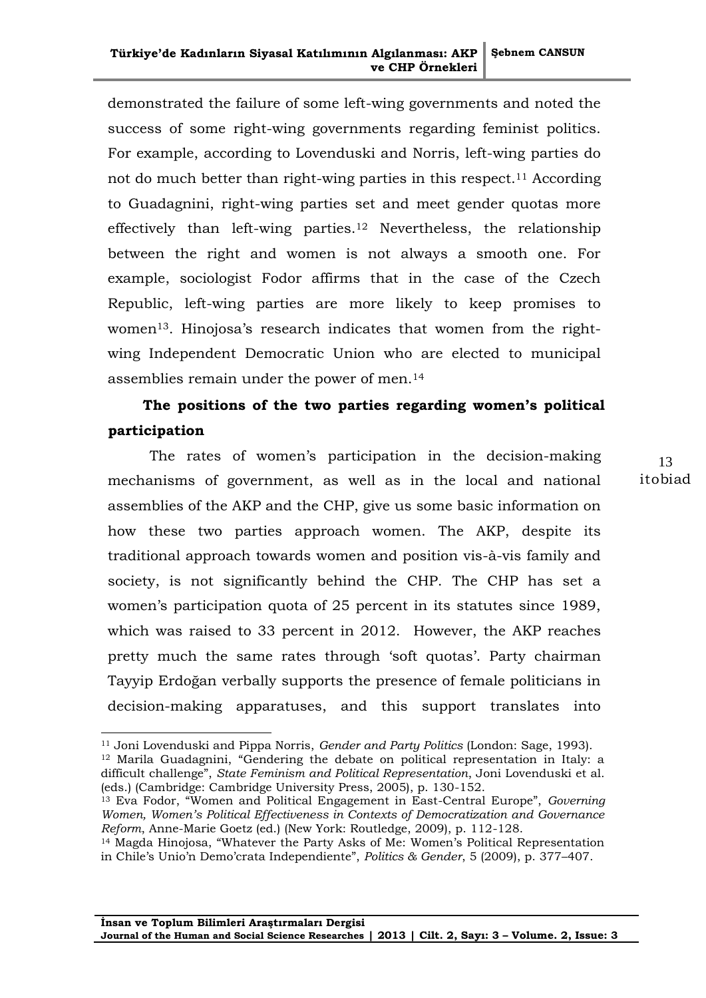demonstrated the failure of some left-wing governments and noted the success of some right-wing governments regarding feminist politics. For example, according to Lovenduski and Norris, left-wing parties do not do much better than right-wing parties in this respect.<sup>11</sup> According to Guadagnini, right-wing parties set and meet gender quotas more effectively than left-wing parties.<sup>12</sup> Nevertheless, the relationship between the right and women is not always a smooth one. For example, sociologist Fodor affirms that in the case of the Czech Republic, left-wing parties are more likely to keep promises to women<sup>13</sup>. Hinojosa's research indicates that women from the rightwing Independent Democratic Union who are elected to municipal assemblies remain under the power of men.<sup>14</sup>

# **The positions of the two parties regarding women's political participation**

The rates of women's participation in the decision-making mechanisms of government, as well as in the local and national assemblies of the AKP and the CHP, give us some basic information on how these two parties approach women. The AKP, despite its traditional approach towards women and position vis-à-vis family and society, is not significantly behind the CHP. The CHP has set a women's participation quota of 25 percent in its statutes since 1989, which was raised to 33 percent in 2012. However, the AKP reaches pretty much the same rates through 'soft quotas'. Party chairman Tayyip Erdoğan verbally supports the presence of female politicians in decision-making apparatuses, and this support translates into

-

<sup>11</sup> Joni Lovenduski and Pippa Norris, *Gender and Party Politics* (London: Sage, 1993). <sup>12</sup> Marila Guadagnini, "Gendering the debate on political representation in Italy: a

difficult challenge", *State Feminism and Political Representation*, Joni Lovenduski et al. (eds.) (Cambridge: Cambridge University Press, 2005), p. 130-152.

<sup>13</sup> Eva Fodor, "Women and Political Engagement in East-Central Europe", *Governing Women, Women's Political Effectiveness in Contexts of Democratization and Governance Reform*, Anne-Marie Goetz (ed.) (New York: Routledge, 2009), p. 112-128.

<sup>&</sup>lt;sup>14</sup> Magda Hinojosa, "Whatever the Party Asks of Me: Women's Political Representation in Chile"s Unio"n Demo"crata Independiente", *Politics & Gender*, 5 (2009), p. 377–407.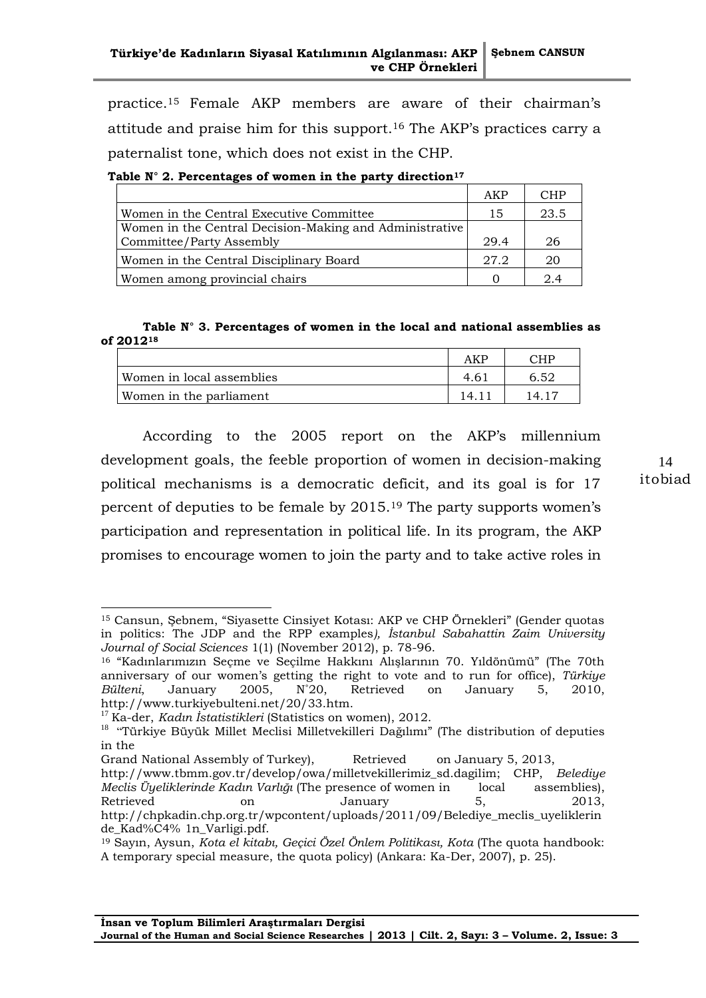practice.<sup>15</sup> Female AKP members are aware of their chairman"s attitude and praise him for this support.<sup>16</sup> The AKP"s practices carry a paternalist tone, which does not exist in the CHP.

**Table N° 2. Percentages of women in the party direction<sup>17</sup>**

|                                                         | AKP  | CHP  |
|---------------------------------------------------------|------|------|
| Women in the Central Executive Committee                |      | 23.5 |
| Women in the Central Decision-Making and Administrative |      |      |
| Committee/Party Assembly                                | 29.4 | 26   |
| Women in the Central Disciplinary Board                 | 27.2 | 20   |
| Women among provincial chairs                           |      | 2.4  |

## **Table N° 3. Percentages of women in the local and national assemblies as of 2012<sup>18</sup>**

|                           | AKF | סטי |
|---------------------------|-----|-----|
| Women in local assemblies | 4.6 |     |
| Women in the parliament   |     |     |

According to the 2005 report on the AKP"s millennium development goals, the feeble proportion of women in decision-making political mechanisms is a democratic deficit, and its goal is for 17 percent of deputies to be female by 2015.<sup>19</sup> The party supports women"s participation and representation in political life. In its program, the AKP promises to encourage women to join the party and to take active roles in

<sup>16</sup> "Kadınlarımızın Seçme ve Seçilme Hakkını Alışlarının 70. Yıldönümü" (The 70th anniversary of our women"s getting the right to vote and to run for office), *Türkiye Bülteni*, January 2005, N˚20, Retrieved on January 5, 2010, http://www.turkiyebulteni.net/20/33.htm.

-

Grand National Assembly of Turkey), Retrieved on January 5, 2013,

<sup>14</sup> itobiad

<sup>15</sup> Cansun, Şebnem, "Siyasette Cinsiyet Kotası: AKP ve CHP Örnekleri" (Gender quotas in politics: The JDP and the RPP examples*), İstanbul Sabahattin Zaim University Journal of Social Sciences* 1(1) (November 2012), p. 78-96.

<sup>17</sup> Ka-der, *Kadın İstatistikleri* (Statistics on women), 2012.

<sup>&</sup>lt;sup>18</sup> "Türkiye Büyük Millet Meclisi Milletvekilleri Dağılımı" (The distribution of deputies in the

[http://www.tbmm.gov.tr/develop/owa/milletvekillerimiz\\_sd.dagilim;](http://www.tbmm.gov.tr/develop/owa/milletvekillerimiz_sd.dagilim) CHP, *Belediye Meclis Üyeliklerinde Kadın Varlığı* (The presence of women in local assemblies), Retrieved on January 5, 2013, [http://chpkadin.chp.org.tr/wpcontent/uploads/2011/09/Belediye\\_meclis\\_uyeliklerin](http://chpkadin.chp.org.tr/wpcontent/uploads/2011/09/Belediye_meclis_uyeliklerinde_Kad%C4%25%091n_Varligi.pdf) de\_Kad%C4% [1n\\_Varligi.pdf.](http://chpkadin.chp.org.tr/wpcontent/uploads/2011/09/Belediye_meclis_uyeliklerinde_Kad%C4%25%091n_Varligi.pdf)

<sup>19</sup> Sayın, Aysun, *Kota el kitabı, Geçici Özel Önlem Politikası, Kota* (The quota handbook: A temporary special measure, the quota policy) (Ankara: Ka-Der, 2007), p. 25).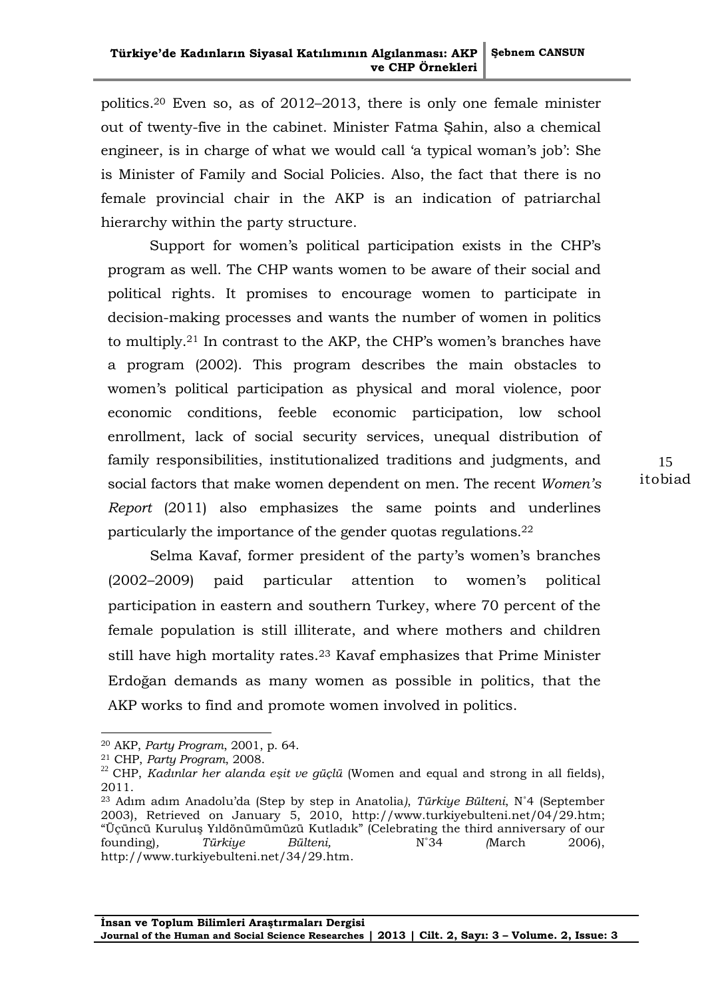politics.<sup>20</sup> Even so, as of 2012–2013, there is only one female minister out of twenty-five in the cabinet. Minister Fatma Şahin, also a chemical engineer, is in charge of what we would call 'a typical woman's job': She is Minister of Family and Social Policies. Also, the fact that there is no female provincial chair in the AKP is an indication of patriarchal hierarchy within the party structure.

Support for women's political participation exists in the CHP's program as well. The CHP wants women to be aware of their social and political rights. It promises to encourage women to participate in decision-making processes and wants the number of women in politics to multiply.<sup>21</sup> In contrast to the AKP, the CHP's women's branches have a program (2002). This program describes the main obstacles to women's political participation as physical and moral violence, poor economic conditions, feeble economic participation, low school enrollment, lack of social security services, unequal distribution of family responsibilities, institutionalized traditions and judgments, and social factors that make women dependent on men. The recent *Women's Report* (2011) also emphasizes the same points and underlines particularly the importance of the gender quotas regulations.<sup>22</sup>

Selma Kavaf, former president of the party's women's branches (2002–2009) paid particular attention to women"s political participation in eastern and southern Turkey, where 70 percent of the female population is still illiterate, and where mothers and children still have high mortality rates.<sup>23</sup> Kavaf emphasizes that Prime Minister Erdoğan demands as many women as possible in politics, that the AKP works to find and promote women involved in politics.

<sup>20</sup> AKP, *Party Program*, 2001, p. 64.

<sup>21</sup> CHP, *Party Program*, 2008.

<sup>&</sup>lt;sup>22</sup> CHP, *Kadınlar her alanda eşit ve güçlü* (Women and equal and strong in all fields), 2011.

<sup>23</sup> Adım adım Anadolu"da (Step by step in Anatolia*)*, *Türkiye Bülteni*, N˚4 (September 2003), Retrieved on January 5, 2010, [http://www.turkiyebulteni.net/04/29.htm;](http://www.turkiyebulteni.net/04/29.htm) "Üçüncü Kuruluş Yıldönümümüzü Kutladık" (Celebrating the third anniversary of our founding)*, Türkiye Bülteni,* N˚34 *(*March 2006), [http://www.turkiyebulteni.net/34/29.htm.](http://www.turkiyebulteni.net/34/29.htm)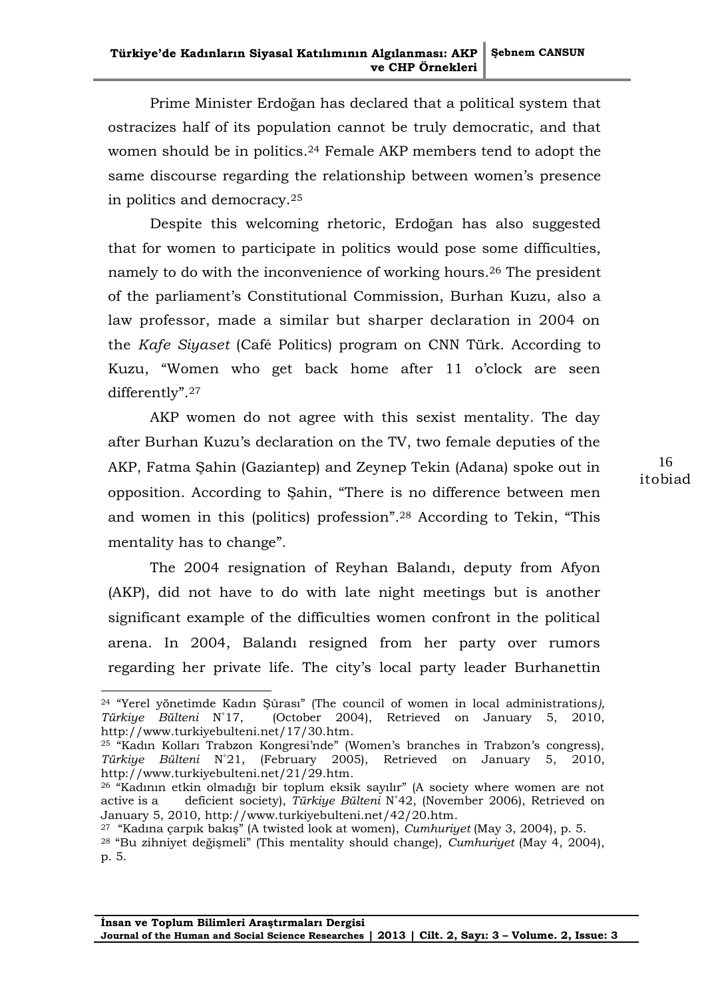Prime Minister Erdoğan has declared that a political system that ostracizes half of its population cannot be truly democratic, and that women should be in politics.<sup>24</sup> Female AKP members tend to adopt the same discourse regarding the relationship between women's presence in politics and democracy.<sup>25</sup>

Despite this welcoming rhetoric, Erdoğan has also suggested that for women to participate in politics would pose some difficulties, namely to do with the inconvenience of working hours.<sup>26</sup> The president of the parliament"s Constitutional Commission, Burhan Kuzu, also a law professor, made a similar but sharper declaration in 2004 on the *Kafe Siyaset* (Café Politics) program on CNN Türk. According to Kuzu, "Women who get back home after 11 o"clock are seen differently".<sup>27</sup>

AKP women do not agree with this sexist mentality. The day after Burhan Kuzu"s declaration on the TV, two female deputies of the AKP, Fatma Şahin (Gaziantep) and Zeynep Tekin (Adana) spoke out in opposition. According to Şahin, "There is no difference between men and women in this (politics) profession".<sup>28</sup> According to Tekin, "This mentality has to change".

The 2004 resignation of Reyhan Balandı, deputy from Afyon (AKP), did not have to do with late night meetings but is another significant example of the difficulties women confront in the political arena. In 2004, Balandı resigned from her party over rumors regarding her private life. The city"s local party leader Burhanettin

<sup>24</sup> "Yerel yönetimde Kadın Şûrası" (The council of women in local administrations*), Türkiye Bülteni* N˚17, (October 2004), Retrieved on January 5, 2010, [http://www.turkiyebulteni.net/17/30.htm.](http://www.turkiyebulteni.net/17/30.htm)

<sup>&</sup>lt;sup>25</sup> "Kadın Kolları Trabzon Kongresi'nde" (Women's branches in Trabzon's congress), *Türkiye Bülteni* N˚21, (February 2005), Retrieved on January 5, 2010, [http://www.turkiyebulteni.net/21/29.htm.](http://www.turkiyebulteni.net/21/29.htm)

<sup>26</sup> "Kadının etkin olmadığı bir toplum eksik sayılır" (A society where women are not active is a deficient society), *Türkiye Bülteni* N˚42, (November 2006), Retrieved on January 5, 2010, [http://www.turkiyebulteni.net/42/20.htm.](http://www.turkiyebulteni.net/42/20.htm)

<sup>27</sup> "Kadına çarpık bakış" (A twisted look at women), *Cumhuriyet* (May 3, 2004), p. 5.

<sup>28</sup> "Bu zihniyet değişmeli" (This mentality should change), *Cumhuriyet* (May 4, 2004), p. 5.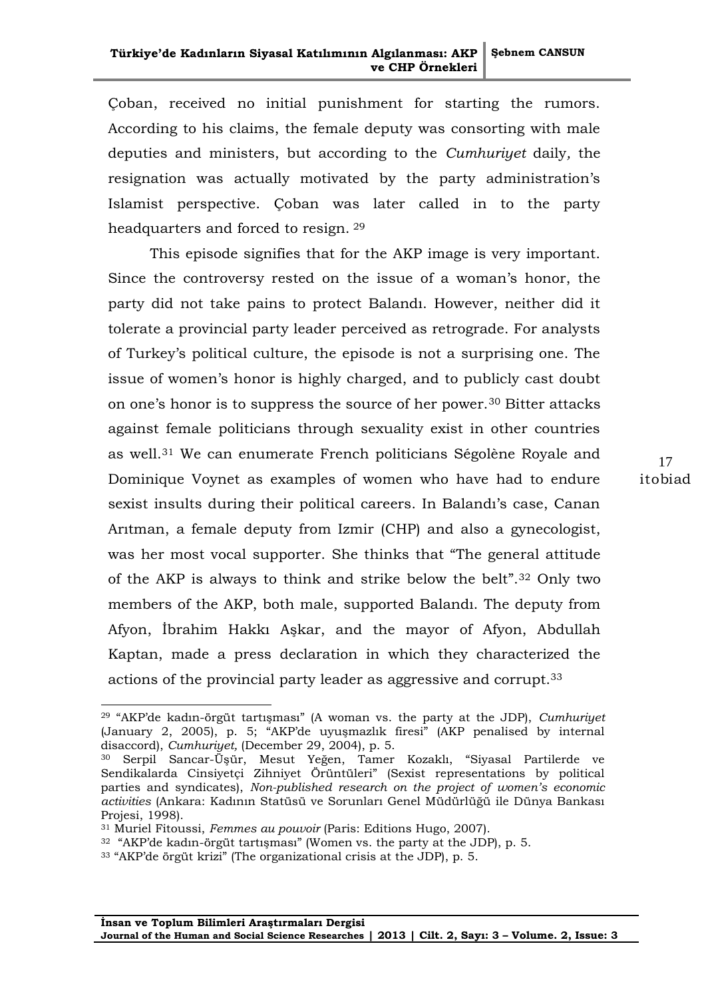Çoban, received no initial punishment for starting the rumors. According to his claims, the female deputy was consorting with male deputies and ministers, but according to the *Cumhuriyet* daily*,* the resignation was actually motivated by the party administration's Islamist perspective. Çoban was later called in to the party headquarters and forced to resign. <sup>29</sup>

This episode signifies that for the AKP image is very important. Since the controversy rested on the issue of a woman's honor, the party did not take pains to protect Balandı. However, neither did it tolerate a provincial party leader perceived as retrograde. For analysts of Turkey"s political culture, the episode is not a surprising one. The issue of women"s honor is highly charged, and to publicly cast doubt on one's honor is to suppress the source of her power.<sup>30</sup> Bitter attacks against female politicians through sexuality exist in other countries as well.<sup>31</sup> We can enumerate French politicians Ségolène Royale and Dominique Voynet as examples of women who have had to endure sexist insults during their political careers. In Balandı"s case, Canan Arıtman, a female deputy from Izmir (CHP) and also a gynecologist, was her most vocal supporter. She thinks that "The general attitude of the AKP is always to think and strike below the belt".<sup>32</sup> Only two members of the AKP, both male, supported Balandı. The deputy from Afyon, İbrahim Hakkı Aşkar, and the mayor of Afyon, Abdullah Kaptan, made a press declaration in which they characterized the actions of the provincial party leader as aggressive and corrupt.<sup>33</sup>

1

<sup>29</sup> "AKP"de kadın-örgüt tartışması" (A woman vs. the party at the JDP), *Cumhuriyet*  (January 2, 2005), p. 5; "AKP"de uyuşmazlık firesi" (AKP penalised by internal disaccord), *Cumhuriyet,* (December 29, 2004), p. 5.

<sup>30</sup> Serpil Sancar-Üşür, Mesut Yeğen, Tamer Kozaklı, "Siyasal Partilerde ve Sendikalarda Cinsiyetçi Zihniyet Örüntüleri" (Sexist representations by political parties and syndicates), *Non-published research on the project of women's economic activities* (Ankara: Kadının Statüsü ve Sorunları Genel Müdürlüğü ile Dünya Bankası Projesi, 1998).

<sup>31</sup> Muriel Fitoussi, *Femmes au pouvoir* (Paris: Editions Hugo, 2007).

<sup>32</sup> "AKP"de kadın-örgüt tartışması" (Women vs. the party at the JDP), p. 5.

<sup>33</sup> "AKP"de örgüt krizi" (The organizational crisis at the JDP), p. 5.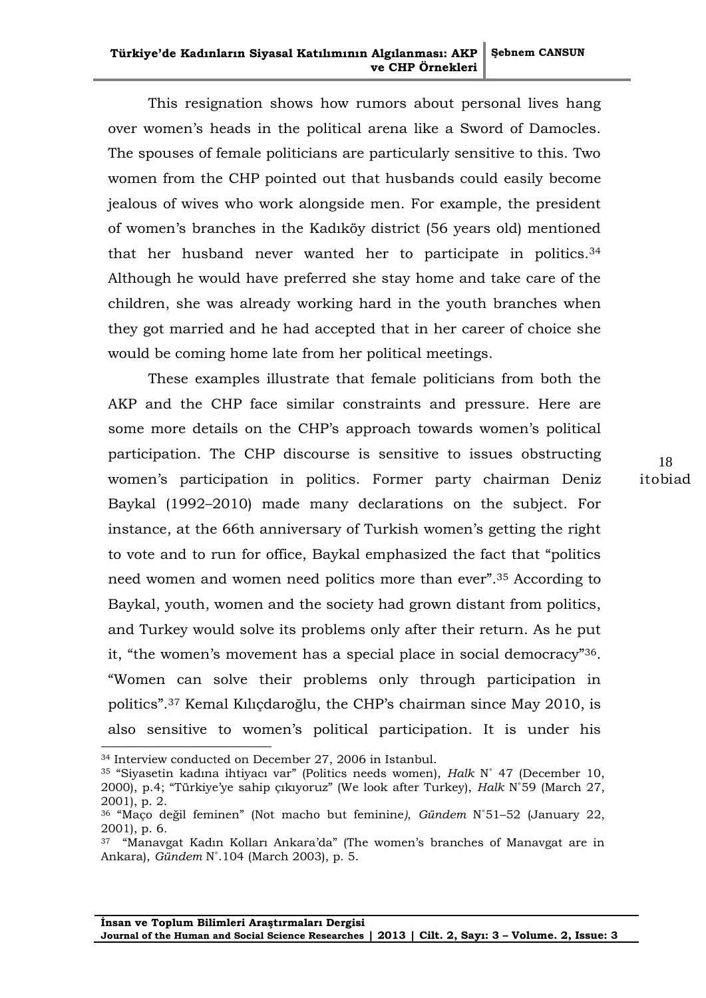This resignation shows how rumors about personal lives hang over women"s heads in the political arena like a Sword of Damocles. The spouses of female politicians are particularly sensitive to this. Two women from the CHP pointed out that husbands could easily become jealous of wives who work alongside men. For example, the president of women"s branches in the Kadıköy district (56 years old) mentioned that her husband never wanted her to participate in politics.<sup>34</sup> Although he would have preferred she stay home and take care of the children, she was already working hard in the youth branches when they got married and he had accepted that in her career of choice she would be coming home late from her political meetings.

These examples illustrate that female politicians from both the AKP and the CHP face similar constraints and pressure. Here are some more details on the CHP's approach towards women's political participation. The CHP discourse is sensitive to issues obstructing women"s participation in politics. Former party chairman Deniz Baykal (1992–2010) made many declarations on the subject. For instance, at the 66th anniversary of Turkish women's getting the right to vote and to run for office, Baykal emphasized the fact that "politics need women and women need politics more than ever".<sup>35</sup> According to Baykal, youth, women and the society had grown distant from politics, and Turkey would solve its problems only after their return. As he put it, "the women's movement has a special place in social democracy"<sup>36</sup>. "Women can solve their problems only through participation in politics".<sup>37</sup> Kemal Kılıçdaroğlu, the CHP"s chairman since May 2010, is also sensitive to women"s political participation. It is under his

<sup>34</sup> Interview conducted on December 27, 2006 in Istanbul.

<sup>35</sup> "Siyasetin kadına ihtiyacı var" (Politics needs women), *Halk* N˚ 47 (December 10, 2000), p.4; "Türkiye"ye sahip çıkıyoruz" (We look after Turkey), *Halk* N˚59 (March 27, 2001), p. 2.

<sup>36</sup> "Maço değil feminen" (Not macho but feminine*)*, *Gündem* N˚51–52 (January 22, 2001), p. 6*.*

 $37$  "Manavgat Kadın Kolları Ankara'da" (The women's branches of Manavgat are in Ankara), *Gündem* N˚.104 (March 2003), p. 5.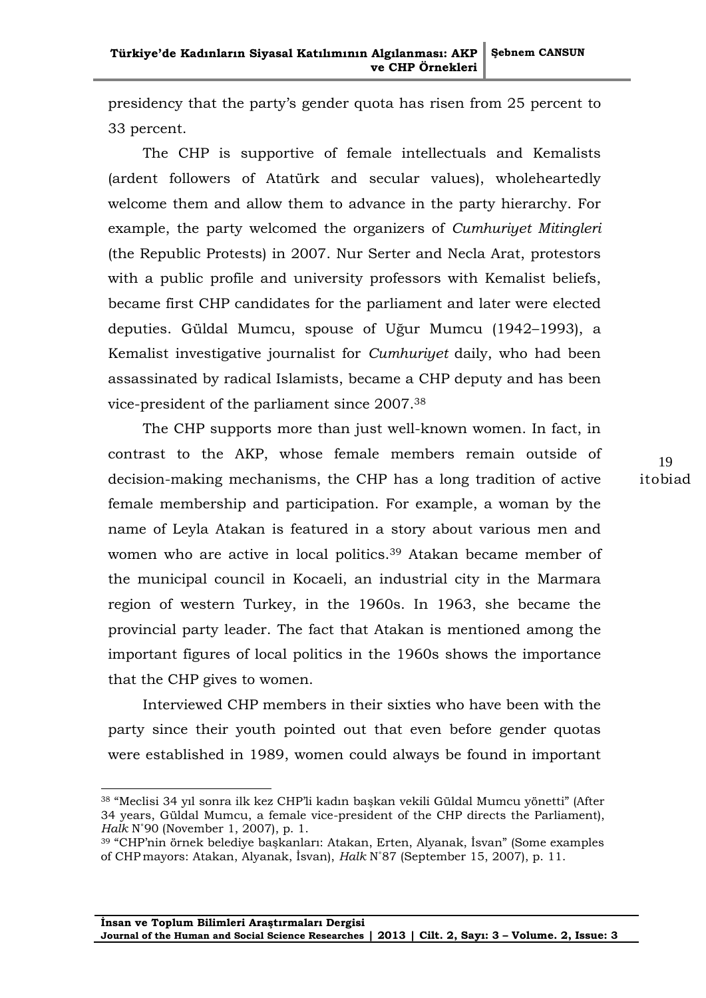presidency that the party"s gender quota has risen from 25 percent to 33 percent.

The CHP is supportive of female intellectuals and Kemalists (ardent followers of Atatürk and secular values), wholeheartedly welcome them and allow them to advance in the party hierarchy. For example, the party welcomed the organizers of *Cumhuriyet Mitingleri* (the Republic Protests) in 2007. Nur Serter and Necla Arat, protestors with a public profile and university professors with Kemalist beliefs, became first CHP candidates for the parliament and later were elected deputies. Güldal Mumcu, spouse of Uğur Mumcu (1942–1993), a Kemalist investigative journalist for *Cumhuriyet* daily, who had been assassinated by radical Islamists, became a CHP deputy and has been vice-president of the parliament since 2007.<sup>38</sup>

The CHP supports more than just well-known women. In fact, in contrast to the AKP, whose female members remain outside of decision-making mechanisms, the CHP has a long tradition of active female membership and participation. For example, a woman by the name of Leyla Atakan is featured in a story about various men and women who are active in local politics.<sup>39</sup> Atakan became member of the municipal council in Kocaeli, an industrial city in the Marmara region of western Turkey, in the 1960s. In 1963, she became the provincial party leader. The fact that Atakan is mentioned among the important figures of local politics in the 1960s shows the importance that the CHP gives to women.

Interviewed CHP members in their sixties who have been with the party since their youth pointed out that even before gender quotas were established in 1989, women could always be found in important

1

<sup>38</sup> "Meclisi 34 yıl sonra ilk kez CHP"li kadın başkan vekili Güldal Mumcu yönetti" (After 34 years, Güldal Mumcu, a female vice-president of the CHP directs the Parliament), *Halk* N˚90 (November 1, 2007), p. 1.

<sup>39</sup> "CHP"nin örnek belediye başkanları: Atakan, Erten, Alyanak, İsvan" (Some examples of CHP mayors: Atakan, Alyanak, İsvan), *Halk* N˚87 (September 15, 2007), p. 11.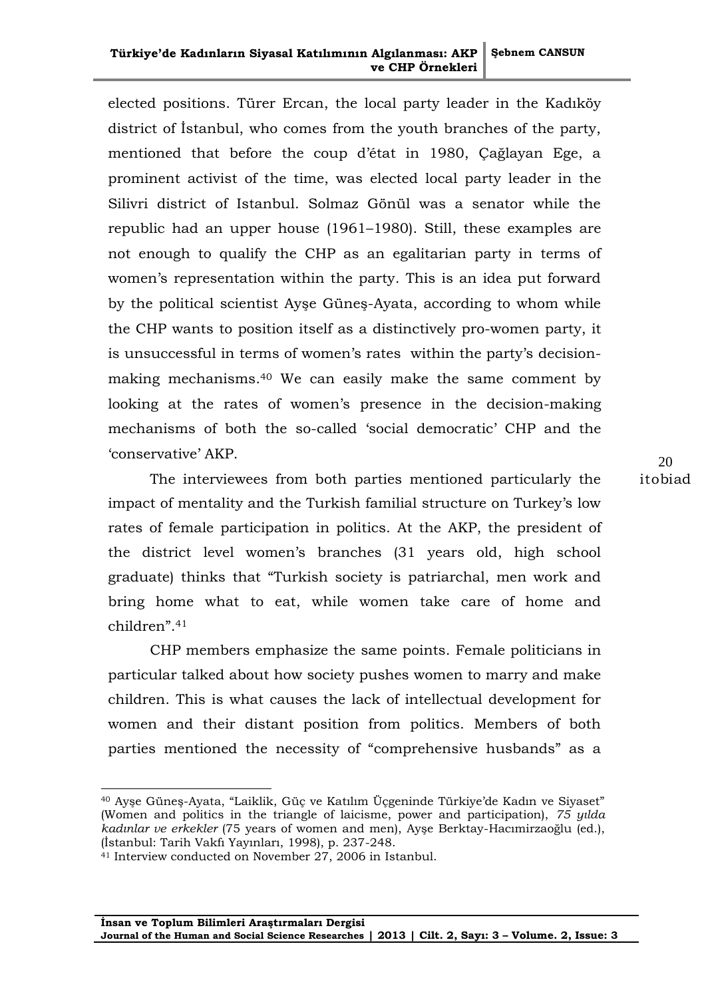### **Türkiye'de Kadınların Siyasal Katılımının Algılanması: AKP ve CHP Örnekleri Şebnem CANSUN**

elected positions. Türer Ercan, the local party leader in the Kadıköy district of İstanbul, who comes from the youth branches of the party, mentioned that before the coup d"état in 1980, Çağlayan Ege, a prominent activist of the time, was elected local party leader in the Silivri district of Istanbul. Solmaz Gönül was a senator while the republic had an upper house (1961–1980). Still, these examples are not enough to qualify the CHP as an egalitarian party in terms of women's representation within the party. This is an idea put forward by the political scientist Ayşe Güneş-Ayata, according to whom while the CHP wants to position itself as a distinctively pro-women party, it is unsuccessful in terms of women's rates within the party's decisionmaking mechanisms. <sup>40</sup> We can easily make the same comment by looking at the rates of women's presence in the decision-making mechanisms of both the so-called "social democratic" CHP and the "conservative" AKP.

The interviewees from both parties mentioned particularly the impact of mentality and the Turkish familial structure on Turkey's low rates of female participation in politics. At the AKP, the president of the district level women"s branches (31 years old, high school graduate) thinks that "Turkish society is patriarchal, men work and bring home what to eat, while women take care of home and children".<sup>41</sup>

CHP members emphasize the same points. Female politicians in particular talked about how society pushes women to marry and make children. This is what causes the lack of intellectual development for women and their distant position from politics. Members of both parties mentioned the necessity of "comprehensive husbands" as a

1

<sup>40</sup> Ayşe Güneş-Ayata, "Laiklik, Güç ve Katılım Üçgeninde Türkiye"de Kadın ve Siyaset" (Women and politics in the triangle of laicisme, power and participation), *75 yılda kadınlar ve erkekler* (75 years of women and men), Ayşe Berktay-Hacımirzaoğlu (ed.), (İstanbul: Tarih Vakfı Yayınları, 1998), p. 237-248.

<sup>&</sup>lt;sup>41</sup> Interview conducted on November 27, 2006 in Istanbul.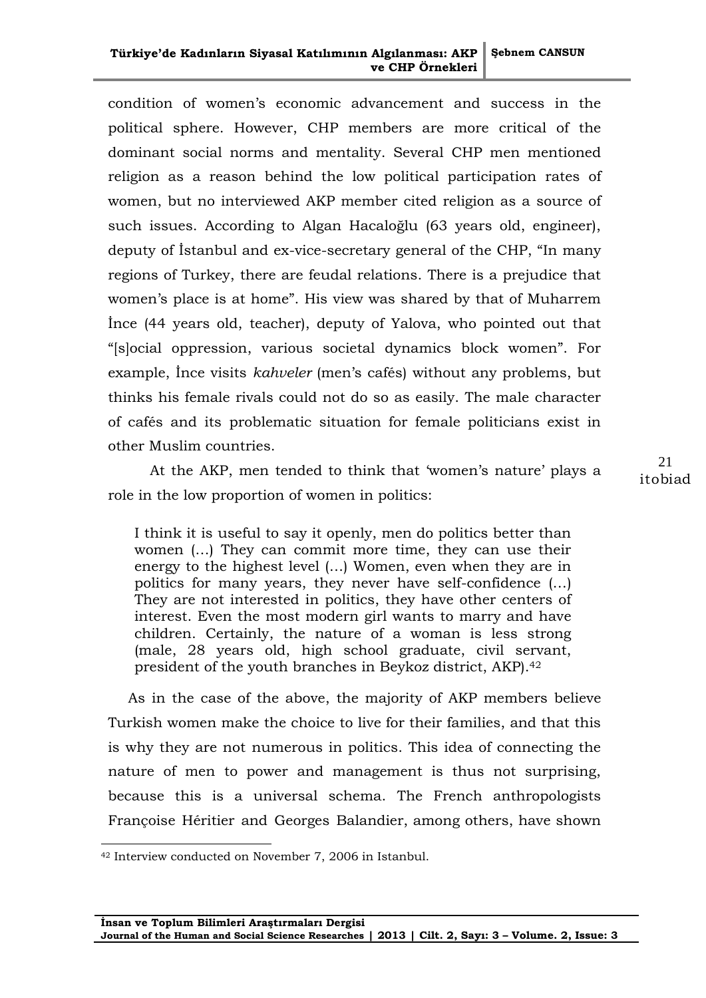#### **Türkiye'de Kadınların Siyasal Katılımının Algılanması: AKP ve CHP Örnekleri Şebnem CANSUN**

condition of women"s economic advancement and success in the political sphere. However, CHP members are more critical of the dominant social norms and mentality. Several CHP men mentioned religion as a reason behind the low political participation rates of women, but no interviewed AKP member cited religion as a source of such issues. According to Algan Hacaloğlu (63 years old, engineer), deputy of İstanbul and ex-vice-secretary general of the CHP, "In many regions of Turkey, there are feudal relations. There is a prejudice that women's place is at home". His view was shared by that of Muharrem İnce (44 years old, teacher), deputy of Yalova, who pointed out that "[s]ocial oppression, various societal dynamics block women". For example, Ince visits *kahveler* (men's cafés) without any problems, but thinks his female rivals could not do so as easily. The male character of cafés and its problematic situation for female politicians exist in other Muslim countries.

At the AKP, men tended to think that 'women's nature' plays a role in the low proportion of women in politics:

I think it is useful to say it openly, men do politics better than women (…) They can commit more time, they can use their energy to the highest level (…) Women, even when they are in politics for many years, they never have self-confidence (…) They are not interested in politics, they have other centers of interest. Even the most modern girl wants to marry and have children. Certainly, the nature of a woman is less strong (male, 28 years old, high school graduate, civil servant, president of the youth branches in Beykoz district, AKP).<sup>42</sup>

As in the case of the above, the majority of AKP members believe Turkish women make the choice to live for their families, and that this is why they are not numerous in politics. This idea of connecting the nature of men to power and management is thus not surprising, because this is a universal schema. The French anthropologists Françoise Héritier and Georges Balandier, among others, have shown

 $\overline{a}$ 

<sup>42</sup> Interview conducted on November 7, 2006 in Istanbul.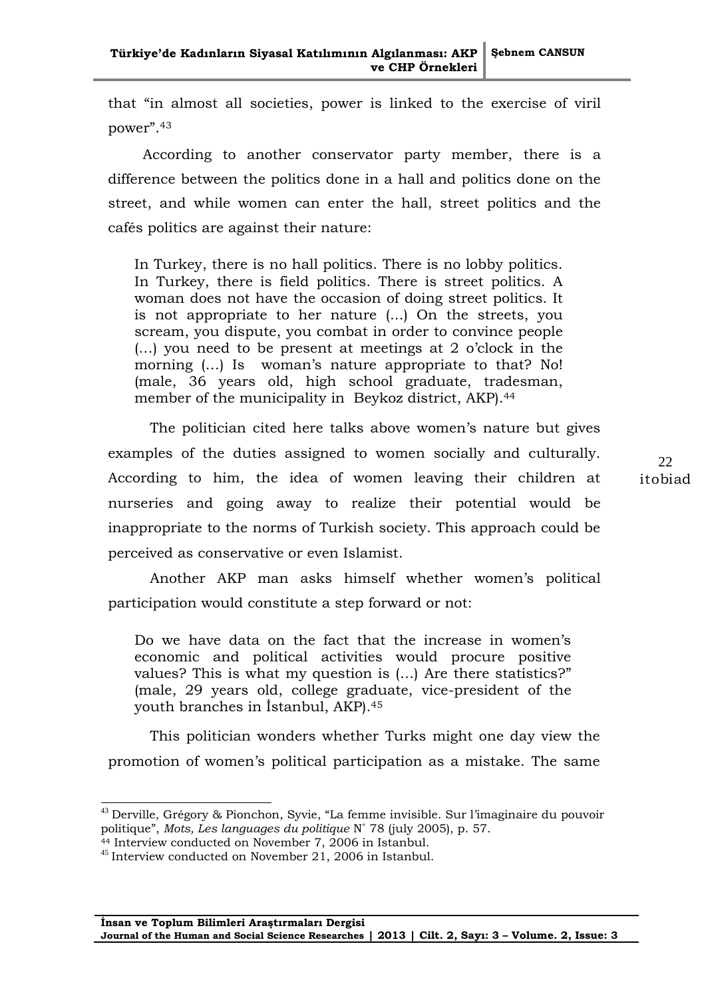that "in almost all societies, power is linked to the exercise of viril power".<sup>43</sup>

According to another conservator party member, there is a difference between the politics done in a hall and politics done on the street, and while women can enter the hall, street politics and the cafés politics are against their nature:

In Turkey, there is no hall politics. There is no lobby politics. In Turkey, there is field politics. There is street politics. A woman does not have the occasion of doing street politics. It is not appropriate to her nature (...) On the streets, you scream, you dispute, you combat in order to convince people (…) you need to be present at meetings at 2 o"clock in the morning (...) Is woman's nature appropriate to that? No! (male, 36 years old, high school graduate, tradesman, member of the municipality in Beykoz district, AKP).<sup>44</sup>

The politician cited here talks above women's nature but gives examples of the duties assigned to women socially and culturally. According to him, the idea of women leaving their children at nurseries and going away to realize their potential would be inappropriate to the norms of Turkish society. This approach could be perceived as conservative or even Islamist.

Another AKP man asks himself whether women's political participation would constitute a step forward or not:

Do we have data on the fact that the increase in women"s economic and political activities would procure positive values? This is what my question is (…) Are there statistics?" (male, 29 years old, college graduate, vice-president of the youth branches in İstanbul, AKP).<sup>45</sup>

This politician wonders whether Turks might one day view the promotion of women"s political participation as a mistake. The same

<sup>&</sup>lt;sup>43</sup> Derville, Grégory & Pionchon, Syvie, "La femme invisible. Sur l'imaginaire du pouvoir politique", *Mots, Les languages du politique* N˚ 78 (july 2005), p. 57.

<sup>&</sup>lt;sup>44</sup> Interview conducted on November 7, 2006 in Istanbul.

 $^{45}$  Interview conducted on November 21, 2006 in Istanbul.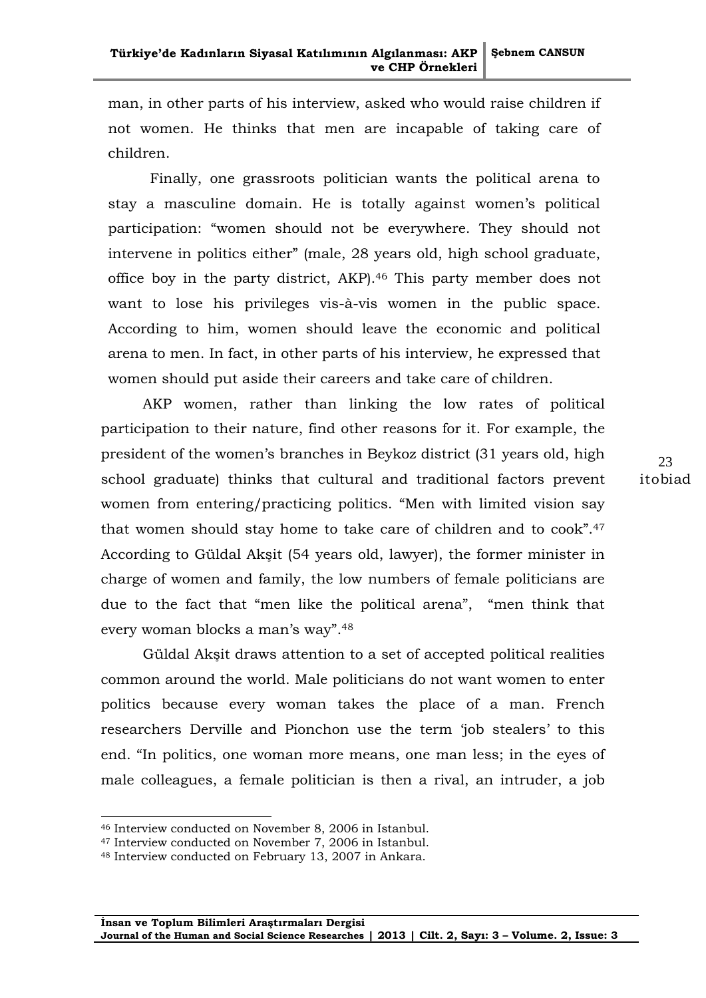man, in other parts of his interview, asked who would raise children if not women. He thinks that men are incapable of taking care of children.

Finally, one grassroots politician wants the political arena to stay a masculine domain. He is totally against women's political participation: "women should not be everywhere. They should not intervene in politics either" (male, 28 years old, high school graduate, office boy in the party district, AKP).<sup>46</sup> This party member does not want to lose his privileges vis-à-vis women in the public space. According to him, women should leave the economic and political arena to men. In fact, in other parts of his interview, he expressed that women should put aside their careers and take care of children.

AKP women, rather than linking the low rates of political participation to their nature, find other reasons for it. For example, the president of the women"s branches in Beykoz district (31 years old, high school graduate) thinks that cultural and traditional factors prevent women from entering/practicing politics. "Men with limited vision say that women should stay home to take care of children and to cook".<sup>47</sup> According to Güldal Akşit (54 years old, lawyer), the former minister in charge of women and family, the low numbers of female politicians are due to the fact that "men like the political arena", "men think that every woman blocks a man's way".<sup>48</sup>

Güldal Akşit draws attention to a set of accepted political realities common around the world. Male politicians do not want women to enter politics because every woman takes the place of a man. French researchers Derville and Pionchon use the term "job stealers" to this end. "In politics, one woman more means, one man less; in the eyes of male colleagues, a female politician is then a rival, an intruder, a job

<sup>46</sup> Interview conducted on November 8, 2006 in Istanbul.

<sup>47</sup> Interview conducted on November 7, 2006 in Istanbul.

<sup>48</sup> Interview conducted on February 13, 2007 in Ankara.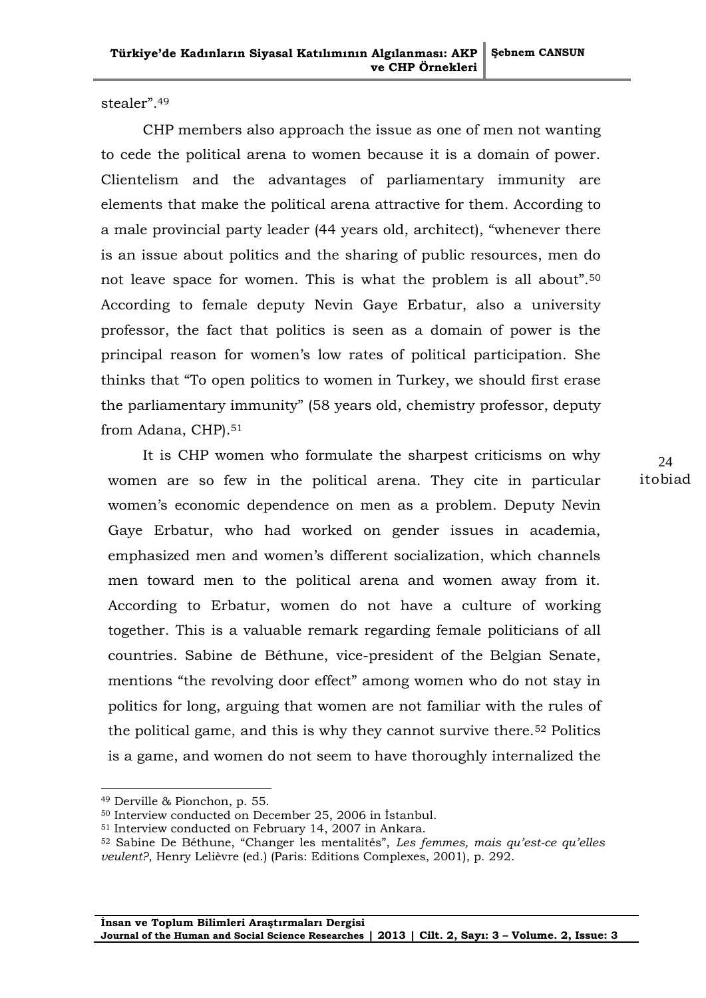stealer".<sup>49</sup>

CHP members also approach the issue as one of men not wanting to cede the political arena to women because it is a domain of power. Clientelism and the advantages of parliamentary immunity are elements that make the political arena attractive for them. According to a male provincial party leader (44 years old, architect), "whenever there is an issue about politics and the sharing of public resources, men do not leave space for women. This is what the problem is all about".<sup>50</sup> According to female deputy Nevin Gaye Erbatur, also a university professor, the fact that politics is seen as a domain of power is the principal reason for women"s low rates of political participation. She thinks that "To open politics to women in Turkey, we should first erase the parliamentary immunity" (58 years old, chemistry professor, deputy from Adana, CHP).<sup>51</sup>

It is CHP women who formulate the sharpest criticisms on why women are so few in the political arena. They cite in particular women's economic dependence on men as a problem. Deputy Nevin Gaye Erbatur, who had worked on gender issues in academia, emphasized men and women"s different socialization, which channels men toward men to the political arena and women away from it. According to Erbatur, women do not have a culture of working together. This is a valuable remark regarding female politicians of all countries. Sabine de Béthune, vice-president of the Belgian Senate, mentions "the revolving door effect" among women who do not stay in politics for long, arguing that women are not familiar with the rules of the political game, and this is why they cannot survive there.<sup>52</sup> Politics is a game, and women do not seem to have thoroughly internalized the

1

<sup>49</sup> Derville & Pionchon, p. 55.

<sup>50</sup> Interview conducted on December 25, 2006 in İstanbul.

<sup>51</sup> Interview conducted on February 14, 2007 in Ankara.

<sup>52</sup> Sabine De Béthune, "Changer les mentalités", *Les femmes, mais qu'est-ce qu'elles veulent?*, Henry Lelièvre (ed.) (Paris: Editions Complexes, 2001), p. 292.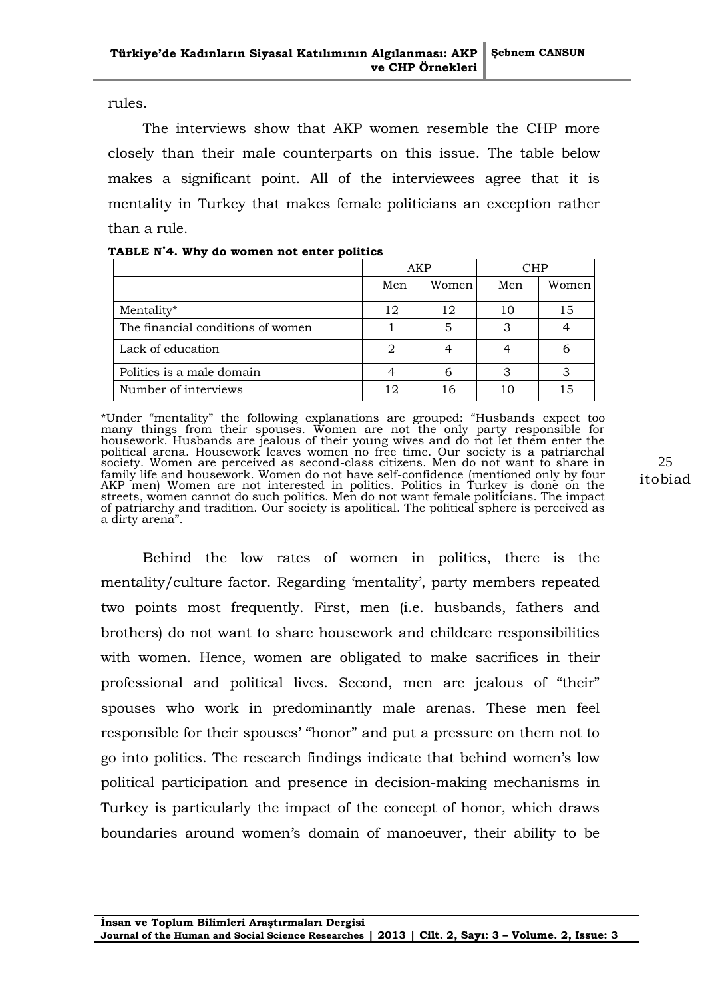rules.

The interviews show that AKP women resemble the CHP more closely than their male counterparts on this issue. The table below makes a significant point. All of the interviewees agree that it is mentality in Turkey that makes female politicians an exception rather than a rule.

|                                   | AKP |       | <b>CHP</b> |       |
|-----------------------------------|-----|-------|------------|-------|
|                                   | Men | Women | Men        | Women |
| Mentality*                        | 12  | 12    | 10         | 15    |
| The financial conditions of women |     | 5     | ာ          |       |
| Lack of education                 | 2   |       |            |       |
| Politics is a male domain         |     | 6     | З          | 3     |
| Number of interviews              |     | 16    | 10         | 15    |

| TABLE N°4. Why do women not enter politics |  |
|--------------------------------------------|--|
|--------------------------------------------|--|

\*Under "mentality" the following explanations are grouped: "Husbands expect too many things from their spouses. Women are not the only party responsible for housework. Husbands are jealous of their young wives and do not let them enter the political arena. Housework leaves women no free time. Our society is a patriarchal society. Women are perceived as second-class citizens. Men do not want to share in family life and housework. Women do not have self-confidence (mentioned only by four AKP men) Women are not interested in politics. Politics in Turkey is done on the streets, women cannot do such politics. Men do not want female politicians. The impact of patriarchy and tradition. Our society is apolitical. The political sphere is perceived as a dirty arena".

Behind the low rates of women in politics, there is the mentality/culture factor. Regarding 'mentality', party members repeated two points most frequently. First, men (i.e. husbands, fathers and brothers) do not want to share housework and childcare responsibilities with women. Hence, women are obligated to make sacrifices in their professional and political lives. Second, men are jealous of "their" spouses who work in predominantly male arenas. These men feel responsible for their spouses' "honor" and put a pressure on them not to go into politics. The research findings indicate that behind women"s low political participation and presence in decision-making mechanisms in Turkey is particularly the impact of the concept of honor, which draws boundaries around women"s domain of manoeuver, their ability to be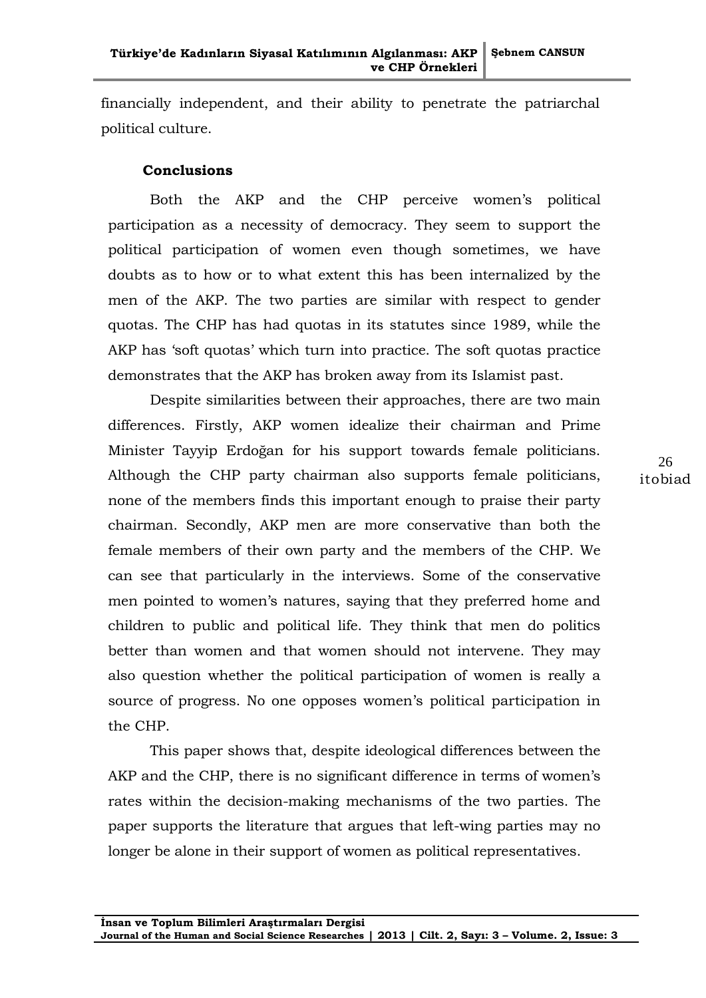financially independent, and their ability to penetrate the patriarchal political culture.

## **Conclusions**

Both the AKP and the CHP perceive women's political participation as a necessity of democracy. They seem to support the political participation of women even though sometimes, we have doubts as to how or to what extent this has been internalized by the men of the AKP. The two parties are similar with respect to gender quotas. The CHP has had quotas in its statutes since 1989, while the AKP has "soft quotas" which turn into practice. The soft quotas practice demonstrates that the AKP has broken away from its Islamist past.

Despite similarities between their approaches, there are two main differences. Firstly, AKP women idealize their chairman and Prime Minister Tayyip Erdoğan for his support towards female politicians. Although the CHP party chairman also supports female politicians, none of the members finds this important enough to praise their party chairman. Secondly, AKP men are more conservative than both the female members of their own party and the members of the CHP. We can see that particularly in the interviews. Some of the conservative men pointed to women's natures, saying that they preferred home and children to public and political life. They think that men do politics better than women and that women should not intervene. They may also question whether the political participation of women is really a source of progress. No one opposes women's political participation in the CHP.

This paper shows that, despite ideological differences between the AKP and the CHP, there is no significant difference in terms of women's rates within the decision-making mechanisms of the two parties. The paper supports the literature that argues that left-wing parties may no longer be alone in their support of women as political representatives.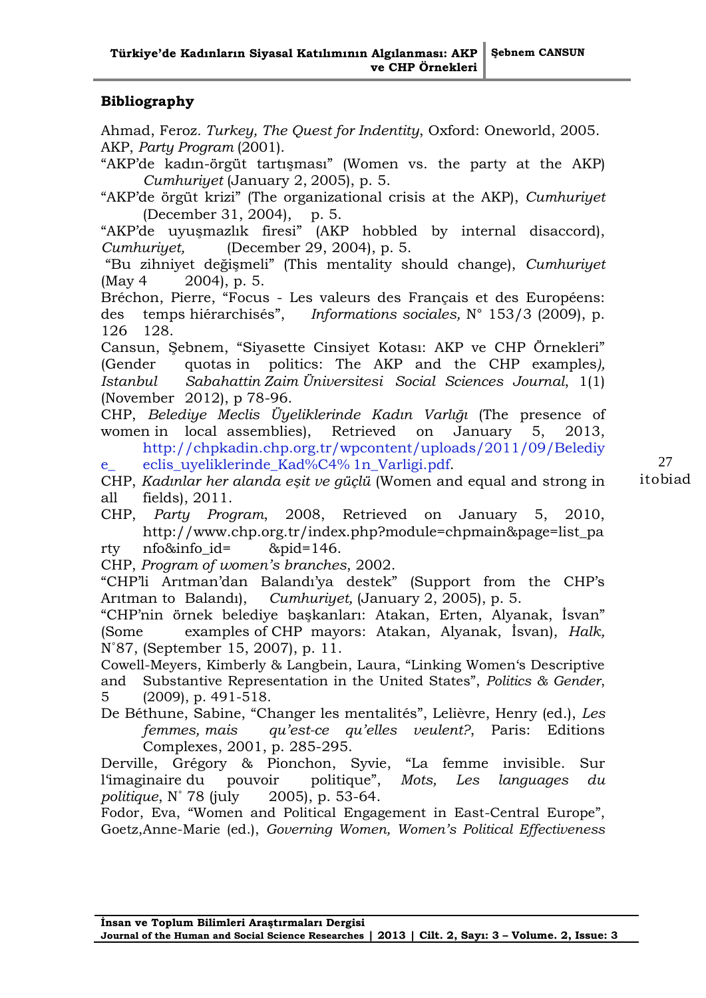# **Bibliography**

Ahmad, Feroz*. Turkey, The Quest for Indentity*, Oxford: Oneworld, 2005. AKP, *Party Program* (2001).

"AKP"de kadın-örgüt tartışması" (Women vs. the party at the AKP) *Cumhuriyet* (January 2, 2005), p. 5.

"AKP"de örgüt krizi" (The organizational crisis at the AKP), *Cumhuriyet* (December 31, 2004), p. 5.

"AKP"de uyuşmazlık firesi" (AKP hobbled by internal disaccord), *Cumhuriyet,* (December 29, 2004), p. 5.

"Bu zihniyet değişmeli" (This mentality should change), *Cumhuriyet*  (May 4 2004), p. 5.

Bréchon, Pierre, "Focus - Les valeurs des Français et des Européens: des temps hiérarchisés", *Informations sociales,* N° 153/3 (2009), p. 126 128.

Cansun, Şebnem, "Siyasette Cinsiyet Kotası: AKP ve CHP Örnekleri" (Gender quotas in politics: The AKP and the CHP examples*), Istanbul Sabahattin Zaim Üniversitesi Social Sciences Journal*, 1(1) (November 2012), p 78-96.

CHP, *Belediye Meclis Üyeliklerinde Kadın Varlığı* (The presence of women in local assemblies), Retrieved on January 5, 2013, [http://chpkadin.chp.org.tr/wpcontent/uploads/2011/09/Belediy](http://chpkadin.chp.org.tr/wpcontent/uploads/2011/09/Belediye_%09eclis_uyeliklerinde_Kad%C4%25%091n_Varligi.pdf) e\_ [eclis\\_uyeliklerinde\\_Kad%C4%](http://chpkadin.chp.org.tr/wpcontent/uploads/2011/09/Belediye_%09eclis_uyeliklerinde_Kad%C4%25%091n_Varligi.pdf) 1n\_Varligi.pdf.

CHP, *Kadınlar her alanda eşit ve güçlü* (Women and equal and strong in all fields), 2011.

27 itobiad

CHP, *Party Program*, 2008, Retrieved on January 5, 2010, [http://www.chp.org.tr/index.php?module=chpmain&page=list\\_pa](http://www.chp.org.tr/index.php?module=chpmain&page=list_party%09nfo&info_id=%09&pid=146) rty [nfo&info\\_id=](http://www.chp.org.tr/index.php?module=chpmain&page=list_party%09nfo&info_id=%09&pid=146) &pid=146.

CHP, *Program of women's branches*, 2002.

"CHP"li Arıtman"dan Balandı"ya destek" (Support from the CHP"s Arıtman to Balandı), *Cumhuriyet,* (January 2, 2005), p. 5.

"CHP"nin örnek belediye başkanları: Atakan, Erten, Alyanak, İsvan" (Some examples of CHP mayors: Atakan, Alyanak, İsvan), *Halk,* N˚87, (September 15, 2007), p. 11.

Cowell-Meyers, Kimberly & Langbein, Laura, "Linking Women"s Descriptive and Substantive Representation in the United States", *Politics & Gender*, 5 (2009), p. 491-518.

De Béthune, Sabine, "Changer les mentalités", Lelièvre, Henry (ed.), *Les femmes, mais qu'est-ce qu'elles veulent?*, Paris: Editions Complexes, 2001, p. 285-295.

Derville, Grégory & Pionchon, Syvie, "La femme invisible. Sur l"imaginaire du pouvoir politique", *Mots, Les languages du politique*, N˚ 78 (july 2005), p. 53-64.

Fodor, Eva, "Women and Political Engagement in East-Central Europe", Goetz,Anne-Marie (ed.), *Governing Women, Women's Political Effectiveness*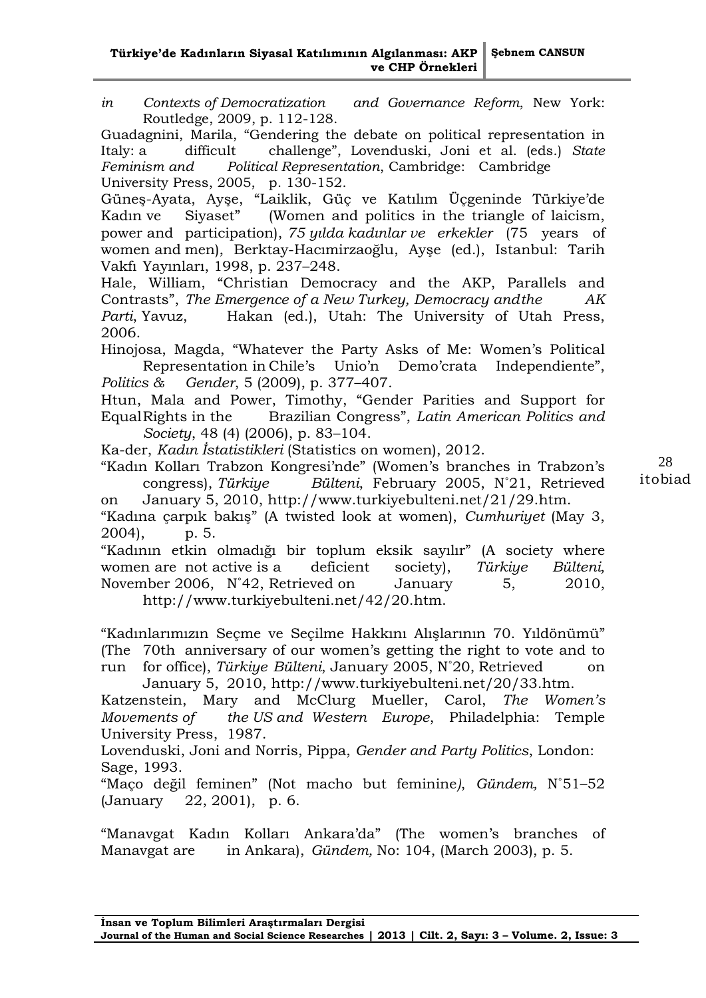*in Contexts of Democratization and Governance Reform*, New York: Routledge, 2009, p. 112-128.

Guadagnini, Marila, "Gendering the debate on political representation in Italy: a difficult challenge", Lovenduski, Joni et al. (eds.) *State Feminism and Political Representation*, Cambridge: Cambridge University Press, 2005, p. 130-152.

Güneş-Ayata, Ayşe, "Laiklik, Güç ve Katılım Üçgeninde Türkiye"de Kadın ve Siyaset" (Women and politics in the triangle of laicism, power and participation), *75 yılda kadınlar ve erkekler* (75 years of women and men), Berktay-Hacımirzaoğlu, Ayşe (ed.), Istanbul: Tarih Vakfı Yayınları, 1998, p. 237–248.

Hale, William, "Christian Democracy and the AKP, Parallels and Contrasts", *The Emergence of a New Turkey, Democracy andthe AK Parti*, Yavuz, Hakan (ed.), Utah: The University of Utah Press, 2006.

Hinojosa, Magda, "Whatever the Party Asks of Me: Women's Political Representation in Chile's Unio'n Demo'crata Independiente", *Politics & Gender*, 5 (2009), p. 377–407.

Htun, Mala and Power, Timothy, "Gender Parities and Support for EqualRights in the Brazilian Congress", *Latin American Politics and Society*, 48 (4) (2006), p. 83–104.

Ka-der, *Kadın İstatistikleri* (Statistics on women), 2012.

"Kadın Kolları Trabzon Kongresi"nde" (Women"s branches in Trabzon"s congress), *Türkiye Bülteni*, February 2005, N˚21, Retrieved on January 5, 2010, [http://www.turkiyebulteni.net/21/29.htm.](http://www.turkiyebulteni.net/21/29.htm)

"Kadına çarpık bakış" (A twisted look at women), *Cumhuriyet* (May 3, 2004), p. 5.

"Kadının etkin olmadığı bir toplum eksik sayılır" (A society where women are not active is a deficient society), *Türkiye Bülteni,*  November 2006, N˚42, Retrieved on January 5, 2010, [http://www.turkiyebulteni.net/42/20.htm.](http://www.turkiyebulteni.net/42/20.htm)

"Kadınlarımızın Seçme ve Seçilme Hakkını Alışlarının 70. Yıldönümü" (The 70th anniversary of our women's getting the right to vote and to run for office), *Türkiye Bülteni*, January 2005, N˚20, Retrieved on

January 5, 2010, [http://www.turkiyebulteni.net/20/33.htm.](http://www.turkiyebulteni.net/20/33.htm) Katzenstein, Mary and McClurg Mueller, Carol, *The Women's Movements of the US and Western Europe*, Philadelphia: Temple University Press, 1987.

Lovenduski, Joni and Norris, Pippa, *Gender and Party Politics*, London: Sage, 1993.

"Maço değil feminen" (Not macho but feminine*)*, *Gündem,* N˚51–52 (January 22, 2001), p. 6.

"Manavgat Kadın Kolları Ankara"da" (The women"s branches of Manavgat are in Ankara), *Gündem,* No: 104, (March 2003), p. 5.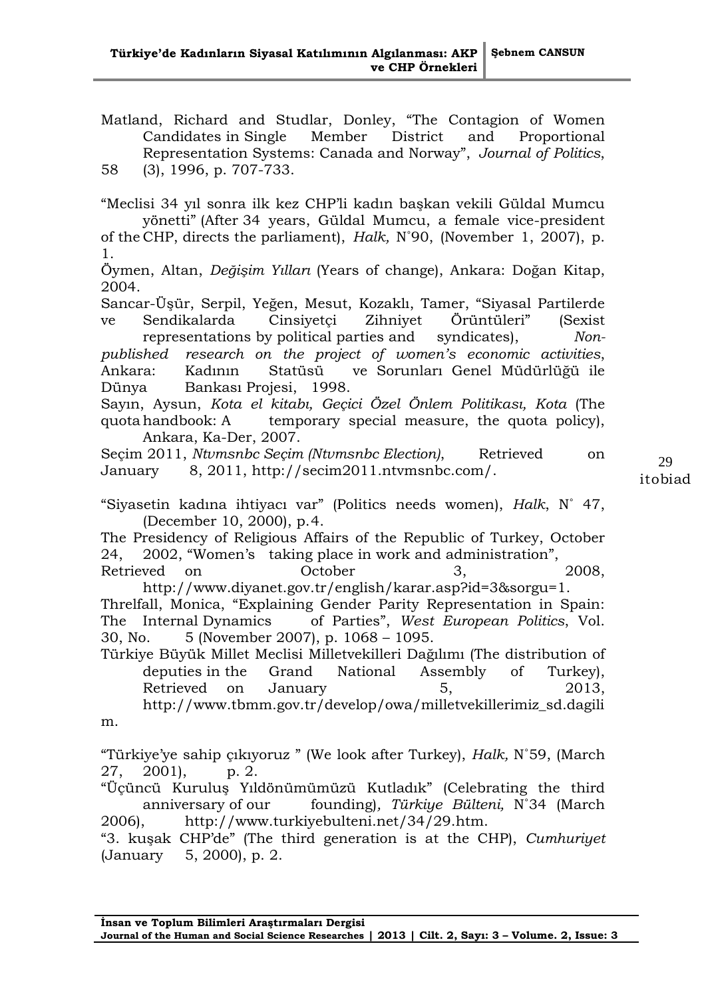Matland, Richard and Studlar, Donley, "The Contagion of Women Candidates in Single Member District and Proportional Representation Systems: Canada and Norway", *Journal of Politics*,

58 (3), 1996, p. 707-733.

"Meclisi 34 yıl sonra ilk kez CHP"li kadın başkan vekili Güldal Mumcu yönetti" (After 34 years, Güldal Mumcu, a female vice-president of the CHP, directs the parliament), *Halk,* N˚90, (November 1, 2007), p. 1. Öymen, Altan, *Değişim Yılları* (Years of change), Ankara: Doğan Kitap, 2004. Sancar-Üşür, Serpil, Yeğen, Mesut, Kozaklı, Tamer, "Siyasal Partilerde ve Sendikalarda Cinsiyetçi Zihniyet Örüntüleri" (Sexist

representations by political parties and syndicates), *Nonpublished research on the project of women's economic activities*, Ankara: Kadının Statüsü ve Sorunları Genel Müdürlüğü ile Dünya Bankası Projesi, 1998.

Sayın, Aysun, *Kota el kitabı, Geçici Özel Önlem Politikası, Kota* (The quota handbook: A temporary special measure, the quota policy), Ankara, Ka-Der, 2007.

Seçim 2011, *Ntvmsnbc Seçim (Ntvmsnbc Election)*, Retrieved on January 8, 2011, [http://secim2011.ntvmsnbc.com/.](http://secim2011.ntvmsnbc.com/)

"Siyasetin kadına ihtiyacı var" (Politics needs women), *Halk*, N˚ 47, (December 10, 2000), p.4.

The Presidency of Religious Affairs of the Republic of Turkey, October 24, 2002, "Women"s taking place in work and administration",

Retrieved on October 3, 2008, [http://www.diyanet.gov.tr/english/karar.asp?id=3&sorgu=1.](http://www.diyanet.gov.tr/english/karar.asp?id=3&sorgu=1)

Threlfall, Monica, "Explaining Gender Parity Representation in Spain: The Internal Dynamics of Parties", *West European Politics*, Vol. 30, No. 5 (November 2007), p. 1068 – 1095.

Türkiye Büyük Millet Meclisi Milletvekilleri Dağılımı (The distribution of deputies in the Grand National Assembly of Turkey), Retrieved on January 5, 2013, [http://www.tbmm.gov.tr/develop/owa/milletvekillerimiz\\_sd.dagili](http://www.tbmm.gov.tr/develop/owa/milletvekillerimiz_sd.dagilim)

[m.](http://www.tbmm.gov.tr/develop/owa/milletvekillerimiz_sd.dagilim)

"Türkiye"ye sahip çıkıyoruz " (We look after Turkey), *Halk,* N˚59, (March 27, 2001), p. 2.

"Üçüncü Kuruluş Yıldönümümüzü Kutladık" (Celebrating the third anniversary of our founding)*, Türkiye Bülteni,* N˚34 (March 2006), [http://www.turkiyebulteni.net/34/29.htm.](http://www.turkiyebulteni.net/34/29.htm)

"3. kuşak CHP"de" (The third generation is at the CHP), *Cumhuriyet*  (January 5, 2000), p. 2.